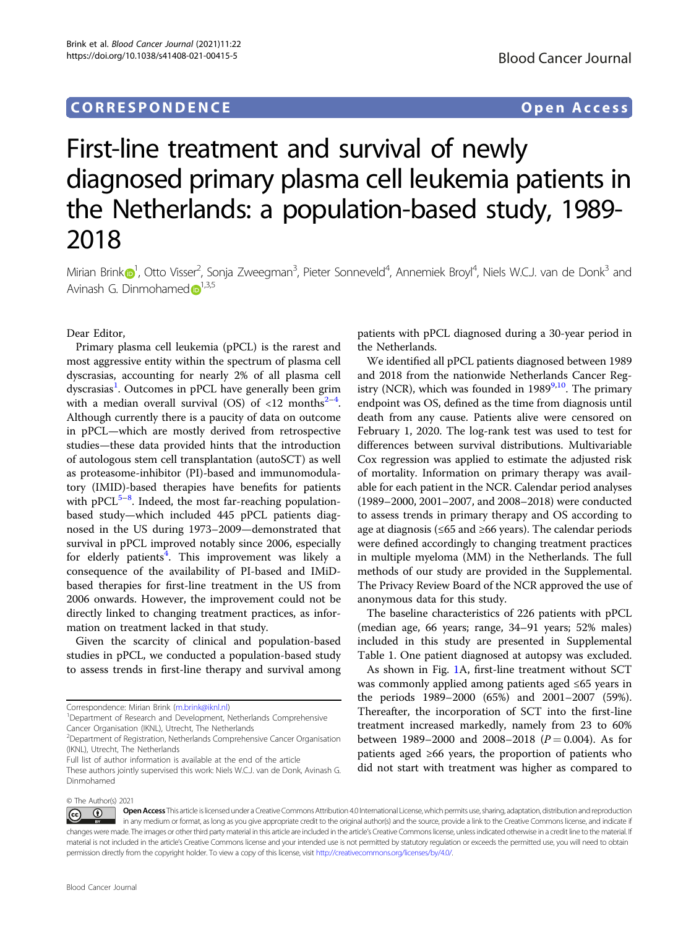## CORRESPONDENCE Open Access

# First-line treatment and survival of newly diagnosed primary plasma cell leukemia patients in the Netherlands: a population-based study, 1989- 2018

Mirian Brin[k](http://orcid.org/0000-0002-6014-4810) $\odot$ [1](http://orcid.org/0000-0002-6014-4810), Otto Visser<sup>2</sup>, Sonja Zweegman<sup>3</sup>, Pieter Sonneveld<sup>4</sup>, Annemiek Broyl<sup>4</sup>, Niels W.C.J. van de Donk<sup>3</sup> and Avinash G. Dinmohamed  $\mathbf{D}^{1,3,5}$  $\mathbf{D}^{1,3,5}$  $\mathbf{D}^{1,3,5}$ 

Dear Editor,

Primary plasma cell leukemia (pPCL) is the rarest and most aggressive entity within the spectrum of plasma cell dyscrasias, accounting for nearly 2% of all plasma cell dyscrasias<sup>[1](#page-3-0)</sup>. Outcomes in pPCL have generally been grim with a median overall survival (OS) of  $\langle 12 \text{ months}^{2-4} \rangle$  $\langle 12 \text{ months}^{2-4} \rangle$  $\langle 12 \text{ months}^{2-4} \rangle$  $\langle 12 \text{ months}^{2-4} \rangle$  $\langle 12 \text{ months}^{2-4} \rangle$ . Although currently there is a paucity of data on outcome in pPCL—which are mostly derived from retrospective studies—these data provided hints that the introduction of autologous stem cell transplantation (autoSCT) as well as proteasome-inhibitor (PI)-based and immunomodulatory (IMID)-based therapies have benefits for patients with pPCL<sup>[5](#page-3-0)-[8](#page-3-0)</sup>. Indeed, the most far-reaching populationbased study—which included 445 pPCL patients diagnosed in the US during 1973–2009—demonstrated that survival in pPCL improved notably since 2006, especially for elderly patients<sup>[4](#page-3-0)</sup>. This improvement was likely a consequence of the availability of PI-based and IMiDbased therapies for first-line treatment in the US from 2006 onwards. However, the improvement could not be directly linked to changing treatment practices, as information on treatment lacked in that study.

Given the scarcity of clinical and population-based studies in pPCL, we conducted a population-based study to assess trends in first-line therapy and survival among

patients with pPCL diagnosed during a 30-year period in the Netherlands.

We identified all pPCL patients diagnosed between 1989 and 2018 from the nationwide Netherlands Cancer Registry (NCR), which was founded in  $1989^{9,10}$  $1989^{9,10}$  $1989^{9,10}$ . The primary endpoint was OS, defined as the time from diagnosis until death from any cause. Patients alive were censored on February 1, 2020. The log-rank test was used to test for differences between survival distributions. Multivariable Cox regression was applied to estimate the adjusted risk of mortality. Information on primary therapy was available for each patient in the NCR. Calendar period analyses (1989–2000, 2001–2007, and 2008–2018) were conducted to assess trends in primary therapy and OS according to age at diagnosis (≤65 and ≥66 years). The calendar periods were defined accordingly to changing treatment practices in multiple myeloma (MM) in the Netherlands. The full methods of our study are provided in the Supplemental. The Privacy Review Board of the NCR approved the use of anonymous data for this study.

The baseline characteristics of 226 patients with pPCL (median age, 66 years; range, 34–91 years; 52% males) included in this study are presented in Supplemental Table 1. One patient diagnosed at autopsy was excluded.

As shown in Fig. [1](#page-1-0)A, first-line treatment without SCT was commonly applied among patients aged ≤65 years in the periods 1989–2000 (65%) and 2001–2007 (59%). Thereafter, the incorporation of SCT into the first-line treatment increased markedly, namely from 23 to 60% between 1989–2000 and 2008–2018 ( $P = 0.004$ ). As for patients aged ≥66 years, the proportion of patients who did not start with treatment was higher as compared to

Open Access This article is licensed under a Creative Commons Attribution 4.0 International License, which permits use, sharing, adaptation, distribution and reproduction  $\overline{\textcircled{\textcirc}}$ in any medium or format, as long as you give appropriate credit to the original author(s) and the source, provide a link to the Creative Commons license, and indicate if changes were made. The images or other third party material in this article are included in the article's Creative Commons license, unless indicated otherwise in a credit line to the material. If material is not included in the article's Creative Commons license and your intended use is not permitted by statutory regulation or exceeds the permitted use, you will need to obtain permission directly from the copyright holder. To view a copy of this license, visit <http://creativecommons.org/licenses/by/4.0/>.

Correspondence: Mirian Brink ([m.brink@iknl.nl](mailto:m.brink@iknl.nl)) <sup>1</sup>

Department of Research and Development, Netherlands Comprehensive Cancer Organisation (IKNL), Utrecht, The Netherlands

<sup>&</sup>lt;sup>2</sup>Department of Registration, Netherlands Comprehensive Cancer Organisation (IKNL), Utrecht, The Netherlands

Full list of author information is available at the end of the article

These authors jointly supervised this work: Niels W.C.J. van de Donk, Avinash G. Dinmohamed

<sup>©</sup> The Author(s) 2021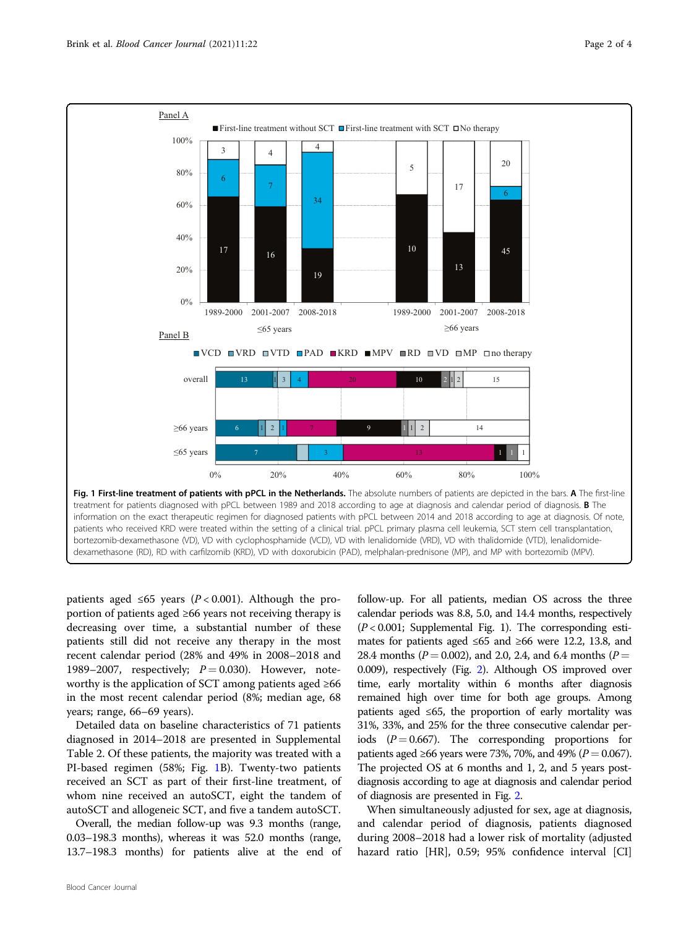<span id="page-1-0"></span>

patients aged ≤65 years ( $P < 0.001$ ). Although the proportion of patients aged ≥66 years not receiving therapy is decreasing over time, a substantial number of these patients still did not receive any therapy in the most recent calendar period (28% and 49% in 2008–2018 and 1989–2007, respectively;  $P = 0.030$ ). However, noteworthy is the application of SCT among patients aged ≥66 in the most recent calendar period (8%; median age, 68 years; range, 66–69 years).

Detailed data on baseline characteristics of 71 patients diagnosed in 2014–2018 are presented in Supplemental Table 2. Of these patients, the majority was treated with a PI-based regimen (58%; Fig. 1B). Twenty-two patients received an SCT as part of their first-line treatment, of whom nine received an autoSCT, eight the tandem of autoSCT and allogeneic SCT, and five a tandem autoSCT.

Overall, the median follow-up was 9.3 months (range, 0.03–198.3 months), whereas it was 52.0 months (range, 13.7–198.3 months) for patients alive at the end of

follow-up. For all patients, median OS across the three calendar periods was 8.8, 5.0, and 14.4 months, respectively  $(P < 0.001$ ; Supplemental Fig. 1). The corresponding estimates for patients aged ≤65 and ≥66 were 12.2, 13.8, and 28.4 months ( $P = 0.002$ ), and 2.0, 2.4, and 6.4 months ( $P =$ 0.009), respectively (Fig. [2](#page-2-0)). Although OS improved over time, early mortality within 6 months after diagnosis remained high over time for both age groups. Among patients aged ≤65, the proportion of early mortality was 31%, 33%, and 25% for the three consecutive calendar periods  $(P = 0.667)$ . The corresponding proportions for patients aged ≥66 years were 73%, 70%, and 49% ( $P = 0.067$ ). The projected OS at 6 months and 1, 2, and 5 years postdiagnosis according to age at diagnosis and calendar period of diagnosis are presented in Fig. [2](#page-2-0).

When simultaneously adjusted for sex, age at diagnosis, and calendar period of diagnosis, patients diagnosed during 2008–2018 had a lower risk of mortality (adjusted hazard ratio [HR], 0.59; 95% confidence interval [CI]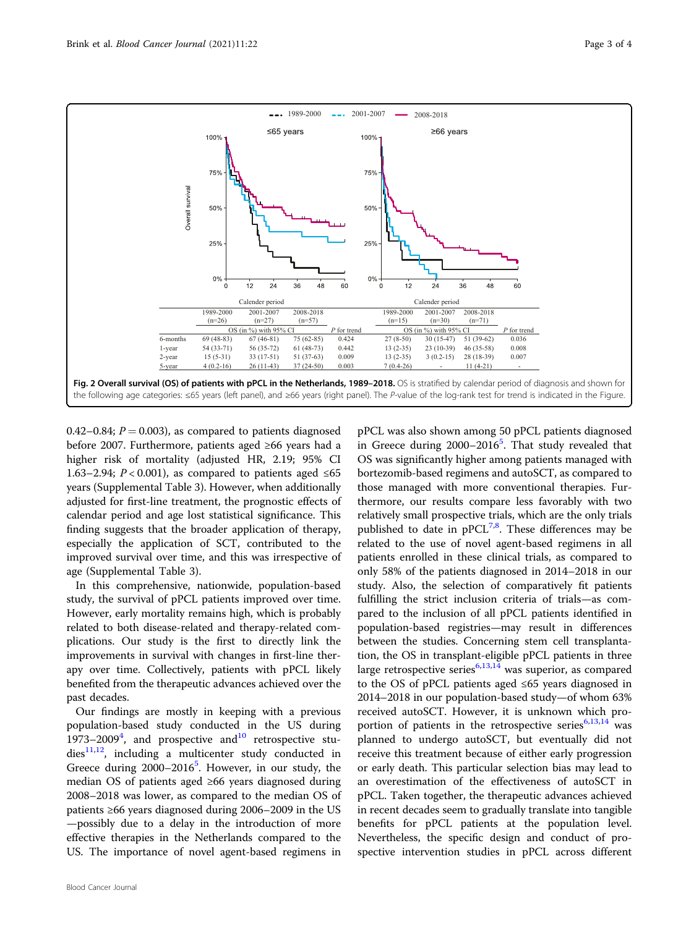<span id="page-2-0"></span>

0.42–0.84;  $P = 0.003$ ), as compared to patients diagnosed before 2007. Furthermore, patients aged ≥66 years had a higher risk of mortality (adjusted HR, 2.19; 95% CI 1.63–2.94;  $P < 0.001$ ), as compared to patients aged ≤65 years (Supplemental Table 3). However, when additionally adjusted for first-line treatment, the prognostic effects of calendar period and age lost statistical significance. This finding suggests that the broader application of therapy, especially the application of SCT, contributed to the improved survival over time, and this was irrespective of age (Supplemental Table 3).

In this comprehensive, nationwide, population-based study, the survival of pPCL patients improved over time. However, early mortality remains high, which is probably related to both disease-related and therapy-related complications. Our study is the first to directly link the improvements in survival with changes in first-line therapy over time. Collectively, patients with pPCL likely benefited from the therapeutic advances achieved over the past decades.

Our findings are mostly in keeping with a previous population-based study conducted in the US during 1973–2009<sup>[4](#page-3-0)</sup>, and prospective and $10$  retrospective stu $dies<sup>11,12</sup>$ , including a multicenter study conducted in Greece during  $2000-2016^5$  $2000-2016^5$ . However, in our study, the median OS of patients aged ≥66 years diagnosed during 2008–2018 was lower, as compared to the median OS of patients ≥66 years diagnosed during 2006–2009 in the US —possibly due to a delay in the introduction of more effective therapies in the Netherlands compared to the US. The importance of novel agent-based regimens in

pPCL was also shown among 50 pPCL patients diagnosed in Greece during 2000-2016<sup>5</sup>. That study revealed that OS was significantly higher among patients managed with bortezomib-based regimens and autoSCT, as compared to those managed with more conventional therapies. Furthermore, our results compare less favorably with two relatively small prospective trials, which are the only trials published to date in  $pPCL^{7,8}$  $pPCL^{7,8}$  $pPCL^{7,8}$  $pPCL^{7,8}$  $pPCL^{7,8}$ . These differences may be related to the use of novel agent-based regimens in all patients enrolled in these clinical trials, as compared to only 58% of the patients diagnosed in 2014–2018 in our study. Also, the selection of comparatively fit patients fulfilling the strict inclusion criteria of trials—as compared to the inclusion of all pPCL patients identified in population-based registries—may result in differences between the studies. Concerning stem cell transplantation, the OS in transplant-eligible pPCL patients in three large retrospective series $6,13,14$  was superior, as compared to the OS of pPCL patients aged ≤65 years diagnosed in 2014–2018 in our population-based study—of whom 63% received autoSCT. However, it is unknown which proportion of patients in the retrospective series $6,13,14$  $6,13,14$  $6,13,14$  $6,13,14$  $6,13,14$  was planned to undergo autoSCT, but eventually did not receive this treatment because of either early progression or early death. This particular selection bias may lead to an overestimation of the effectiveness of autoSCT in pPCL. Taken together, the therapeutic advances achieved in recent decades seem to gradually translate into tangible benefits for pPCL patients at the population level. Nevertheless, the specific design and conduct of prospective intervention studies in pPCL across different